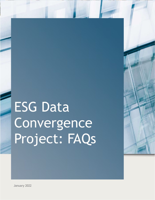# ESG Data **Convergence** Project: FAQs



<sup>1</sup>January 2022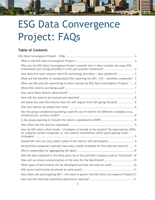# ESG Data Convergence Project: FAQs

<u>rmmunn</u>

#### Table of Contents

| Why was the ESG Data Convergence Project created? Aren't there already too many ESG<br>frameworks and ratings providers? Is this just another framework?  4                           |  |
|---------------------------------------------------------------------------------------------------------------------------------------------------------------------------------------|--|
| How does this work interact with ESG technology providers / data platforms? 5                                                                                                         |  |
| What are the benefits of standardized ESG reporting for GPs / LPs / portfolio companies? . 5                                                                                          |  |
| What are GPs and LPs committing to when joining the ESG Data Convergence Project?  6                                                                                                  |  |
|                                                                                                                                                                                       |  |
|                                                                                                                                                                                       |  |
|                                                                                                                                                                                       |  |
| Are these the only ESG metrics that LPs will require from GPs going forward?  8                                                                                                       |  |
|                                                                                                                                                                                       |  |
| Has the group considered launching a specific set of metrics for different strategies (e.g.,                                                                                          |  |
|                                                                                                                                                                                       |  |
| Is the group planning to include the metrics mandated by SFDR?  8                                                                                                                     |  |
|                                                                                                                                                                                       |  |
| How do GPs select which funds / strategies to include in the project? Do expectations differ<br>for majority-owned companies vs. non-control investments within participating funds / |  |
| Should GPs who can only collect some of the metrics still participate? 9                                                                                                              |  |
| Do portfolio companies typically have data readily available for the selected metrics?  9                                                                                             |  |
|                                                                                                                                                                                       |  |
| Will the data reported to the third party be at the portfolio company level or fund level? 10                                                                                         |  |
| How will we ensure anonymization of the data for the benchmark? 10                                                                                                                    |  |
| What types of benchmarks will be developed and how will they be used?  10                                                                                                             |  |
|                                                                                                                                                                                       |  |
| How often will participating GPs / LPs meet to govern the ESG Data Convergence Project?11                                                                                             |  |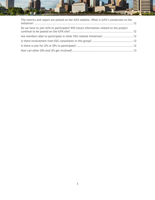

| The metrics and report are posted on the ILPA website. What is ILPA's connection to the |  |
|-----------------------------------------------------------------------------------------|--|
| Do we have to join ILPA to participate? Will future information related to the project  |  |
| Are members able to participate in other ESG-related initiatives?  12                   |  |
|                                                                                         |  |
|                                                                                         |  |
|                                                                                         |  |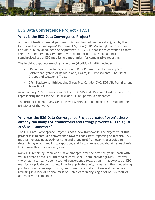

### ESG Data Convergence Project – FAQs

#### What is the ESG Data Convergence Project?

A group of leading general partners (GPs) and limited partners (LPs), led by the California Public Employees' Retirement System (CalPERS) and global investment firm Carlyle, publicly announced on September  $30<sup>th</sup>$ , 2021, that it has convened to form the private equity industry's first-ever collaboration to advance an initial standardized set of ESG metrics and mechanism for comparative reporting.

The initial group, representing more than \$4 trillion in AUM, includes:

- LPs: AlpInvest Partners, APG, CalPERS, CPP Investments, Employees' Retirement System of Rhode Island, PGGM, PSP Investments, The Pictet Group, and Wellcome Trust.
- GPs: Blackstone, Bridgepoint Group Plc, Carlyle, CVC, EQT AB, Permira, and TowerBrook.

As of January 2022, there are more than 100 GPs and LPs committed to the effort, representing more than \$8T in AUM and ~1,400 portfolio companies.

The project is open to any GP or LP who wishes to join and agrees to support the principles of the work.

#### Why was the ESG Data Convergence Project created? Aren't there already too many ESG frameworks and ratings providers? Is this just another framework?

The ESG Data Convergence Project is not a new framework. The objective of this project is i) to catalyze convergence towards consistent reporting on material ESG metrics, leveraging already existing and thoughtful frameworks as a guide for determining which metrics to report on, and ii) to create a collaborative mechanism to improve this process every year.

Many ESG reporting frameworks have emerged over the past few years, each with various areas of focus or oriented towards specific stakeholder groups. However, there has historically been a lack of convergence towards an initial core set of ESG metrics for private companies. Investors, private equity firms, and their underlying portfolio companies report using one, some, or a portion of several frameworks, resulting in a lack of critical mass of usable data in any single set of ESG metrics across private companies.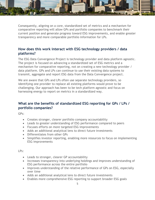Consequently, aligning on a core, standardized set of metrics and a mechanism for comparative reporting will allow GPs and portfolio companies to benchmark their current position and generate progress toward ESG improvements, and enable greater transparency and more comparable portfolio information for LPs.

1111111111111

#### How does this work interact with ESG technology providers / data platforms?

The ESG Data Convergence Project is technology provider and data platform agnostic. The project is focused on advancing a standardized set of ESG metrics and a mechanism for comparative reporting, not on creating a new technology provider / data platform. GPs and LPs can continue to use their existing data systems to transmit, aggregate and report ESG data from the Data Convergence project.

We are aware that GPs and LPs often use separate technology providers, so identifying one provider to replace all existing platforms would prove to be challenging. Our approach has been to be tech platform agnostic and focus on harnessing energy to report on metrics in a standardized way.

#### What are the benefits of standardized ESG reporting for GPs / LPs / portfolio companies?

GPs:

- Creates stronger, clearer portfolio company accountability
- Leads to greater understanding of ESG performance compared to peers
- Focuses efforts on more targeted ESG improvements
- Adds an additional analytical lens to direct future investments
- Differentiates from other GPs
- Simplifies investor reporting, enabling more resources to focus on implementing ESG improvements

LPs:

- Leads to stronger, clearer GP accountability
- Increases transparency into underlying holdings and improves understanding of ESG performance across the entire portfolio
- Improves understanding of the relative performance of GPs on ESG, especially over time
- Adds an additional analytical lens to direct future investments
- Enables more comprehensive ESG reporting to support broader ESG goals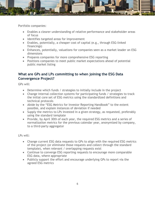

Portfolio companies:

- Enables a clearer understanding of relative performance and stakeholder areas of focus
- Identifies targeted areas for improvement
- Enables, potentially, a cheaper cost of capital (e.g., through ESG-linked financings)
- Enhances, potentially, valuations for companies seen as a market leader on ESG dimensions
- Prepares companies for more comprehensive ESG reporting
- Positions companies to meet public market expectations ahead of potential public market listing

#### What are GPs and LPs committing to when joining the ESG Data Convergence Project?

GPs will:

- Determine which funds / strategies to initially include in the project
- Change internal collection systems for participating funds / strategies to track the initial core set of ESG metrics using the standardized definitions and technical protocols
- Abide by the "ESG Metrics for Investor Reporting Handbook" to the extent possible, and explain instances of deviation if needed
- Supply the metrics to LPs invested in a given strategy, as requested, preferably using the standard template
- Provide, by April 30th of each year, the required ESG metrics and a series of normalization metrics for the previous calendar year, anonymized by company, to a third-party aggregator

LPs will:

- Change current ESG data requests to GPs to align with the required ESG metrics of the project (or eliminate those requests and collect through the standard template), when relevant / overlapping requests exist
- Continue to converge ESG reporting requests to encourage more comparable ESG data, where appropriate
- Publicly support the effort and encourage underlying GPs to report via the agreed ESG metrics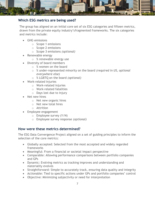

#### Which ESG metrics are being used?

The group has aligned on an initial core set of six ESG categories and fifteen metrics, drawn from the private equity industry's fragmented frameworks. The six categories and metrics include:

- GHG emissions
	- o Scope 1 emissions
	- o Scope 2 emissions
	- o Scope 3 emissions (optional)
- Renewable energy
	- o % renewable energy use
- Diversity of board members
	- o % women on the board
	- $\circ$  % under-represented minority on the board *(required in US, optional* everywhere else)
	- o % LGBTQ on the board (optional)
- Work-related injuries
	- o Work-related injuries
	- o Work-related fatalities
	- $\circ$  Days lost due to injury
- Net new hires
	- o Net new organic hires
	- o Net new total hires
	- o Attrition
- Employee engagement
	- $\circ$  Employee survey (Y/N)
	- o Employee survey response (optional)

#### How were these metrics determined?

The ESG Data Convergence Project aligned on a set of guiding principles to inform the selection of the core metrics:

- Globally accepted: Selected from the most accepted and widely regarded frameworks
- Meaningful: From a financial or societal impact perspective
- Comparable: Allowing performance comparisons between portfolio companies and GPs
- Dynamic: Evolving metrics as tracking improves and understanding and materiality evolves
- Straightforward: Simple to accurately track, ensuring data quality and integrity
- Actionable: Tied to specific actions under GPs and portfolio companies' control
- Objective: Minimizing subjectivity or need for interpretation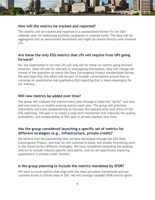

#### How will the metrics be tracked and reported?

The metrics will be tracked and reported in a standardized format for the 2021 calendar year for underlying portfolio companies in covered funds. The data will be aggregated into an anonymized benchmark and might be shared directly with invested LPs.

#### Are these the only ESG metrics that LPs will require from GPs going forward?

No, the expectation is not that LPs will only ask for these six metrics going forward. However, when LPs ask for relevant or overlapping information, they will change the format of the questions to match the Data Convergence Project standardized format. We also hope that this effort will be part of broader conversations around how to converge on quantitative and qualitative ESG reporting that is more meaningful for our industry.

#### Will new metrics be added over time?

The group will evaluate the metrics every year through a collective "sprint" and may add new metrics or modify existing metrics each year. The group will prioritize materiality and work collaboratively to increase the sophistication and utility of the ESG reporting. The goal is to create a long-term mechanism that improves the quality, availability, and comparability of ESG data in private markets over time.

#### Has the group considered launching a specific set of metrics for different strategies (e.g., infrastructure, private credit)?

We believe that the partnership that we have developed through the ESG Data Convergence Project, and that we will continue to build, will enable interesting work in the future across different strategies. We have considered extending the existing metrics to include industry-specific data points, and we are specifically exploring applications in private credit markets.

#### Is the group planning to include the metrics mandated by SFDR?

We want to track metrics that align with the most prevalent frameworks and are common across a critical mass of GPs. We will strongly consider SFDR metrics given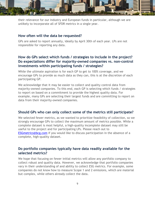

their relevance for our industry and European funds in particular, although we are unlikely to incorporate all of SFDR metrics in a single year.

#### How often will the data be requested?

GPs are asked to report annually, ideally by April 30th of each year. LPs are not responsible for reporting any data.

#### How do GPs select which funds / strategies to include in the project? Do expectations differ for majority-owned companies vs. non-control investments within participating funds / strategies?

While the ultimate aspiration is for each GP to get to 100% coverage, and we encourage GPs to provide as much data as they can, this is at the discretion of each participating GP.

We acknowledge that it may be easier to collect and quality control data from majority-owned companies. To this end, each GP is selecting which funds / strategies to report on based on a commitment to provide the highest quality data. For example, many GPs are selecting their largest funds and are committing to report on data from their majority-owned companies.

#### Should GPs who can only collect some of the metrics still participate?

We selected fewer metrics, as we wanted to prioritize feasibility of collection, so we strongly encourage GPs to collect the maximum amount of metrics possible. While a complete dataset is most helpful, a high-quality incomplete dataset may still be useful to the project and for participating LPs. Please reach out to **ESGmetrics@bcg.com** if you would like to discuss participation in the absence of a complete, high-quality dataset.

#### Do portfolio companies typically have data readily available for the selected metrics?

We hope that focusing on fewer initial metrics will allow any portfolio company to collect robust and quality data. However, we acknowledge that portfolio companies vary in their understanding of and ability to collect ESG metrics. For example, some companies do not know how to measure Scope 1 and 2 emissions, which are material but complex, while others already collect the data.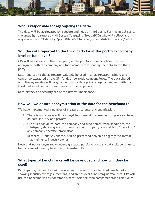

#### Who is responsible for aggregating the data?

The data will be aggregated by a secure and neutral third party. For this initial cycle, the group has partnered with Boston Consulting Group (BCG) who will collect and aggregate the 2021 data by April 30th, 2022 for analysis and distribution in Q2 2022.

#### Will the data reported to the third party be at the portfolio company level or fund level?

GPs will report data to the third party at the portfolio company level. GPs will anonymize both the company and fund name before sending the data to the third party.

Data reported to the aggregator will only be used in an aggregated fashion, and cannot be extracted at the GP, fund, or portfolio company level. The data shared with the aggregator will be governed by the data privacy legal agreement with the third party and cannot be used for any other applications.

Data privacy and security are of the utmost importance.

#### How will we ensure anonymization of the data for the benchmark?

We have implemented a number of measures to ensure anonymization:

- 1. There is and always will be a legal benchmarking agreement in place centered on data security and privacy
- 2. GPs will anonymize both the company and fund names when sending to the third-party data aggregator to ensure the third party is not able to "back into" any company-specific information
- 3. Research, if publicly shared, will be presented only in an aggregated format that highlights industry trends

Note that non-anonymized or non-aggregated portfolio company data will continue to be transferred directly from GPs to invested LPs.

#### What types of benchmarks will be developed and how will they be used?

Participating GPs and LPs will have access to a set of standardized benchmarks showing industry averages, medians, and trends over time using normalizers. GPs will use the benchmarks to understand where their portfolio companies stand relative to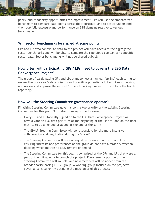peers, and to identify opportunities for improvement. LPs will use the standardized benchmark to compare data points across their portfolio, and to better understand their portfolio exposure and performance on ESG domains relative to various benchmarks.

11111111111111

#### Will sector benchmarks be shared at some point?

GPs and LPs who contribute data to the project will have access to the aggregated sector benchmarks and will be able to compare their portfolio companies to specific sector data. Sector benchmarks will not be shared publicly.

#### How often will participating GPs / LPs meet to govern the ESG Data Convergence Project?

The group of participating GPs and LPs plans to host an annual "sprint" each spring to review the prior year's data, discuss and prioritize potential addition of new metrics, and review and improve the entire ESG benchmarking process, from data collection to reporting.

#### How will the Steering Committee governance operate?

Finalizing Steering Committee governance is a top priority of the existing Steering Committee for this year. Our initial thinking is the following:

- Every GP and LP formally signed on to the ESG Data Convergence Project will have a vote on ESG data priorities at the beginning of the 'sprint' and on the final metrics to be amended or added at the end of the sprint
- The GP/LP Steering Committee will be responsible for the more intensive collaboration and negotiation during the 'sprint'
- The Steering Committee will have an equal representation of GPs and LPs, ensuring interests and preferences of one group do not have a majority voice in deciding which metrics to add, remove or amend
- The Steering Committee for this year is comprised of the GPs and LPs that were a part of the initial work to launch the project. Every year, a portion of the Steering Committee will roll off, and new members will be added from the broader participating LP/GP group. A working group focused on the project's governance is currently detailing the mechanics of this process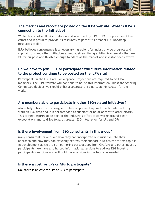

#### The metrics and report are posted on the ILPA website. What is ILPA's connection to the initiative?

While this is not an ILPA initiative and it is not led by ILPA, ILPA is supportive of the effort and is proud to provide its resources as part of its broader ESG Roadmap & Resources toolkit.

ILPA believes convergence is a necessary ingredient for industry-wide progress and supports this and other initiatives aimed at streamlining existing frameworks that are fit-for-purpose and flexible enough to adapt as the market and investor needs evolve.

#### Do we have to join ILPA to participate? Will future information related to the project continue to be posted on the ILPA site?

Participants in the ESG Data Convergence Project are not required to be ILPA members. The ILPA website will continue to house this information unless the Steering Committee decides we should enlist a separate third-party administrator for the work.

#### Are members able to participate in other ESG-related initiatives?

Absolutely. This effort is designed to be complementary with the broader industry work on ESG data and it is not intended to supplant or be at odds with other efforts. This project aspires to be part of the industry's effort to converge around clear expectations and to drive towards greater ESG integration for LPs and GPs.

#### Is there involvement from ESG consultants in this group?

Many consultants have asked how they can incorporate our initiative into their approach and how they can officially express their support. Our answer to this topic is in development as we are still gathering perspectives from GPs/LPs and other industry participants. We have also hosted informational sessions to address ESG industry participants questions and will hold more sessions in the future as needed.

#### Is there a cost for LPs or GPs to participate?

No, there is no cost for LPs or GPs to participate.